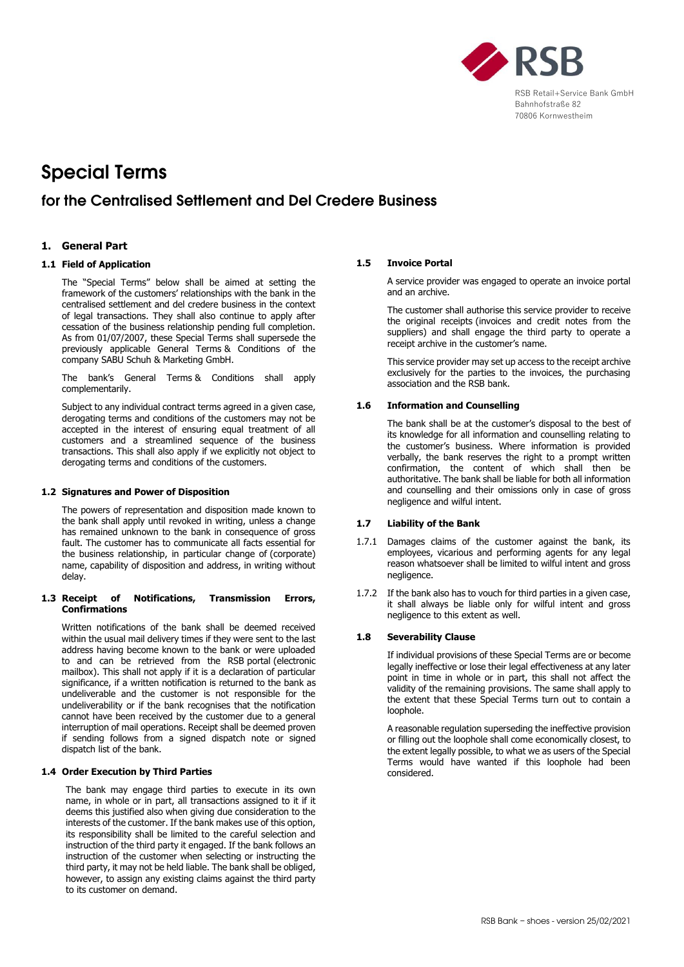

# Special Terms

# for the Centralised Settlement and Del Credere Business

# **1. General Part**

# **1.1 Field of Application**

The "Special Terms" below shall be aimed at setting the framework of the customers' relationships with the bank in the centralised settlement and del credere business in the context of legal transactions. They shall also continue to apply after cessation of the business relationship pending full completion. As from 01/07/2007, these Special Terms shall supersede the previously applicable General Terms & Conditions of the company SABU Schuh & Marketing GmbH.

The bank's General Terms & Conditions shall apply complementarily.

Subject to any individual contract terms agreed in a given case, derogating terms and conditions of the customers may not be accepted in the interest of ensuring equal treatment of all customers and a streamlined sequence of the business transactions. This shall also apply if we explicitly not object to derogating terms and conditions of the customers.

#### **1.2 Signatures and Power of Disposition**

The powers of representation and disposition made known to the bank shall apply until revoked in writing, unless a change has remained unknown to the bank in consequence of gross fault. The customer has to communicate all facts essential for the business relationship, in particular change of (corporate) name, capability of disposition and address, in writing without delay.

#### **1.3 Receipt of Notifications, Transmission Errors, Confirmations**

Written notifications of the bank shall be deemed received within the usual mail delivery times if they were sent to the last address having become known to the bank or were uploaded to and can be retrieved from the RSB portal (electronic mailbox). This shall not apply if it is a declaration of particular significance, if a written notification is returned to the bank as undeliverable and the customer is not responsible for the undeliverability or if the bank recognises that the notification cannot have been received by the customer due to a general interruption of mail operations. Receipt shall be deemed proven if sending follows from a signed dispatch note or signed dispatch list of the bank.

# **1.4 Order Execution by Third Parties**

The bank may engage third parties to execute in its own name, in whole or in part, all transactions assigned to it if it deems this justified also when giving due consideration to the interests of the customer. If the bank makes use of this option, its responsibility shall be limited to the careful selection and instruction of the third party it engaged. If the bank follows an instruction of the customer when selecting or instructing the third party, it may not be held liable. The bank shall be obliged, however, to assign any existing claims against the third party to its customer on demand.

#### **1.5 Invoice Portal**

A service provider was engaged to operate an invoice portal and an archive.

The customer shall authorise this service provider to receive the original receipts (invoices and credit notes from the suppliers) and shall engage the third party to operate a receipt archive in the customer's name.

This service provider may set up access to the receipt archive exclusively for the parties to the invoices, the purchasing association and the RSB bank.

#### **1.6 Information and Counselling**

The bank shall be at the customer's disposal to the best of its knowledge for all information and counselling relating to the customer's business. Where information is provided verbally, the bank reserves the right to a prompt written confirmation, the content of which shall then be authoritative. The bank shall be liable for both all information and counselling and their omissions only in case of gross negligence and wilful intent.

#### **1.7 Liability of the Bank**

- 1.7.1 Damages claims of the customer against the bank, its employees, vicarious and performing agents for any legal reason whatsoever shall be limited to wilful intent and gross negligence.
- 1.7.2 If the bank also has to vouch for third parties in a given case, it shall always be liable only for wilful intent and gross negligence to this extent as well.

#### **1.8 Severability Clause**

If individual provisions of these Special Terms are or become legally ineffective or lose their legal effectiveness at any later point in time in whole or in part, this shall not affect the validity of the remaining provisions. The same shall apply to the extent that these Special Terms turn out to contain a loophole.

A reasonable regulation superseding the ineffective provision or filling out the loophole shall come economically closest, to the extent legally possible, to what we as users of the Special Terms would have wanted if this loophole had been considered.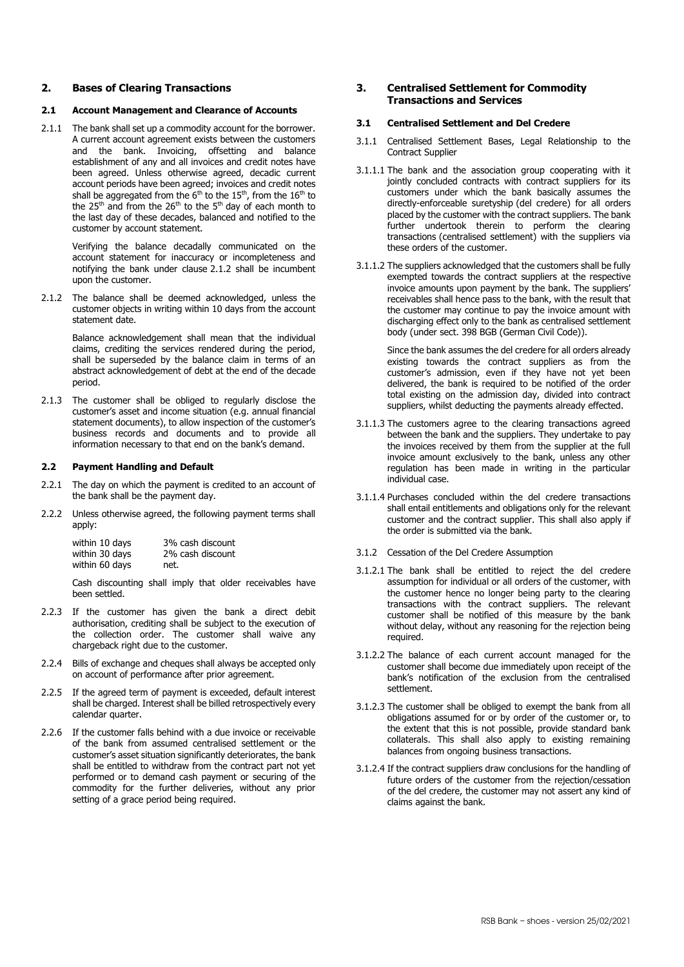#### **2. Bases of Clearing Transactions**

#### **2.1 Account Management and Clearance of Accounts**

2.1.1 The bank shall set up a commodity account for the borrower. A current account agreement exists between the customers and the bank. Invoicing, offsetting and balance establishment of any and all invoices and credit notes have been agreed. Unless otherwise agreed, decadic current account periods have been agreed; invoices and credit notes shall be aggregated from the  $6<sup>th</sup>$  to the  $15<sup>th</sup>$ , from the  $16<sup>th</sup>$  to the 25<sup>th</sup> and from the 26<sup>th</sup> to the 5<sup>th</sup> day of each month to the last day of these decades, balanced and notified to the customer by account statement.

> Verifying the balance decadally communicated on the account statement for inaccuracy or incompleteness and notifying the bank under clause 2.1.2 shall be incumbent upon the customer.

2.1.2 The balance shall be deemed acknowledged, unless the customer objects in writing within 10 days from the account statement date.

> Balance acknowledgement shall mean that the individual claims, crediting the services rendered during the period, shall be superseded by the balance claim in terms of an abstract acknowledgement of debt at the end of the decade period.

2.1.3 The customer shall be obliged to regularly disclose the customer's asset and income situation (e.g. annual financial statement documents), to allow inspection of the customer's business records and documents and to provide all information necessary to that end on the bank's demand.

#### **2.2 Payment Handling and Default**

- 2.2.1 The day on which the payment is credited to an account of the bank shall be the payment day.
- 2.2.2 Unless otherwise agreed, the following payment terms shall apply:

| within 10 days | 3% cash discount |
|----------------|------------------|
| within 30 days | 2% cash discount |
| within 60 days | net.             |

Cash discounting shall imply that older receivables have been settled.

- 2.2.3 If the customer has given the bank a direct debit authorisation, crediting shall be subject to the execution of the collection order. The customer shall waive any chargeback right due to the customer.
- 2.2.4 Bills of exchange and cheques shall always be accepted only on account of performance after prior agreement.
- 2.2.5 If the agreed term of payment is exceeded, default interest shall be charged. Interest shall be billed retrospectively every calendar quarter.
- 2.2.6 If the customer falls behind with a due invoice or receivable of the bank from assumed centralised settlement or the customer's asset situation significantly deteriorates, the bank shall be entitled to withdraw from the contract part not yet performed or to demand cash payment or securing of the commodity for the further deliveries, without any prior setting of a grace period being required.

# **3. Centralised Settlement for Commodity Transactions and Services**

#### **3.1 Centralised Settlement and Del Credere**

- 3.1.1 Centralised Settlement Bases, Legal Relationship to the Contract Supplier
- 3.1.1.1 The bank and the association group cooperating with it jointly concluded contracts with contract suppliers for its customers under which the bank basically assumes the directly-enforceable suretyship (del credere) for all orders placed by the customer with the contract suppliers. The bank further undertook therein to perform the clearing transactions (centralised settlement) with the suppliers via these orders of the customer.
- 3.1.1.2 The suppliers acknowledged that the customers shall be fully exempted towards the contract suppliers at the respective invoice amounts upon payment by the bank. The suppliers' receivables shall hence pass to the bank, with the result that the customer may continue to pay the invoice amount with discharging effect only to the bank as centralised settlement body (under sect. 398 BGB (German Civil Code)).

Since the bank assumes the del credere for all orders already existing towards the contract suppliers as from the customer's admission, even if they have not yet been delivered, the bank is required to be notified of the order total existing on the admission day, divided into contract suppliers, whilst deducting the payments already effected.

- 3.1.1.3 The customers agree to the clearing transactions agreed between the bank and the suppliers. They undertake to pay the invoices received by them from the supplier at the full invoice amount exclusively to the bank, unless any other regulation has been made in writing in the particular individual case.
- 3.1.1.4 Purchases concluded within the del credere transactions shall entail entitlements and obligations only for the relevant customer and the contract supplier. This shall also apply if the order is submitted via the bank.
- 3.1.2 Cessation of the Del Credere Assumption
- 3.1.2.1 The bank shall be entitled to reject the del credere assumption for individual or all orders of the customer, with the customer hence no longer being party to the clearing transactions with the contract suppliers. The relevant customer shall be notified of this measure by the bank without delay, without any reasoning for the rejection being required.
- 3.1.2.2 The balance of each current account managed for the customer shall become due immediately upon receipt of the bank's notification of the exclusion from the centralised settlement.
- 3.1.2.3 The customer shall be obliged to exempt the bank from all obligations assumed for or by order of the customer or, to the extent that this is not possible, provide standard bank collaterals. This shall also apply to existing remaining balances from ongoing business transactions.
- 3.1.2.4 If the contract suppliers draw conclusions for the handling of future orders of the customer from the rejection/cessation of the del credere, the customer may not assert any kind of claims against the bank.